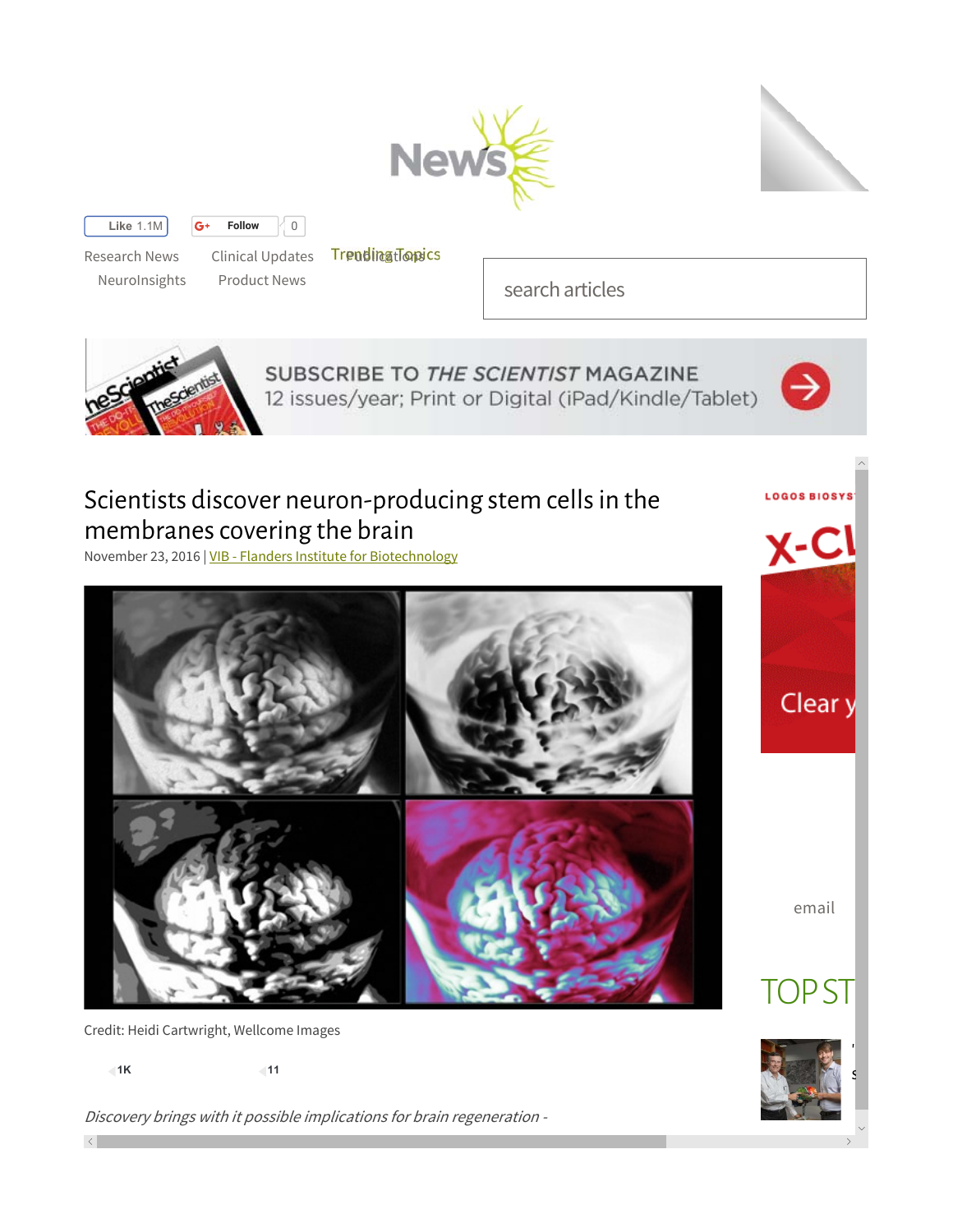



**Like** 1.1M **G Follow**  $\begin{bmatrix} 0 \\ 0 \end{bmatrix}$ 

Research News Clinical Updates Treudinationsics

NeuroInsights Product News

search articles



SUBSCRIBE TO THE SCIENTIST MAGAZINE 12 issues/year; Print or Digital (iPad/Kindle/Tablet)



LOGOS BIOSYS'

<u>y-Cl</u>

Clear y

# Scientists discover neuron-producing stem cells in the membranes covering the brain

November 23, 2016 | VIB - Flanders Institute for Biotechnology



Credit: Heidi Cartwright, Wellcome Images

**1K 11**

Discovery brings with it possible implications for brain regeneration -

email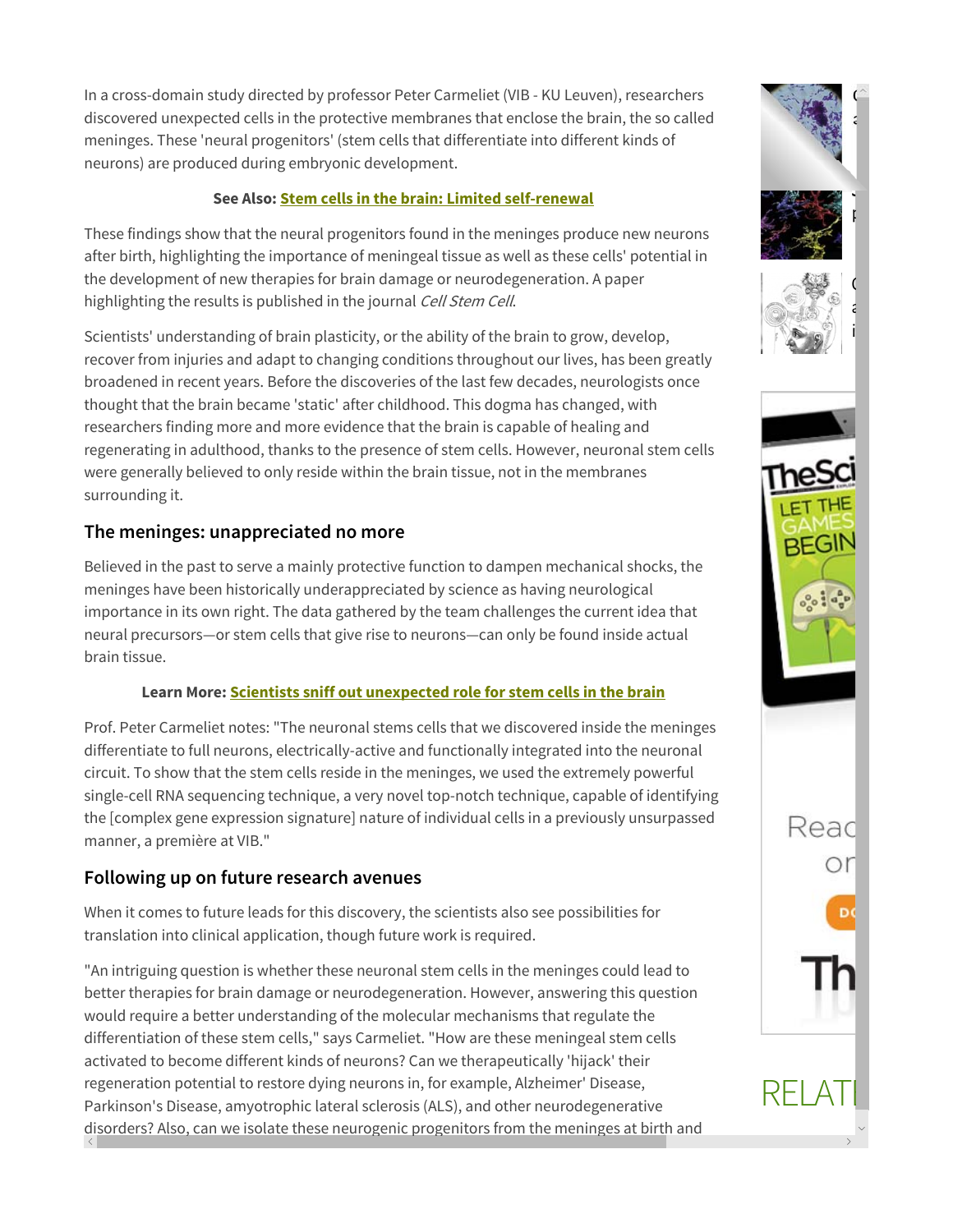In a cross-domain study directed by professor Peter Carmeliet (VIB - KU Leuven), researchers discovered unexpected cells in the protective membranes that enclose the brain, the so called meninges. These 'neural progenitors' (stem cells that differentiate into different kinds of neurons) are produced during embryonic development.

### **See Also: Stem cells in the brain: Limited self-renewal**

These findings show that the neural progenitors found in the meninges produce new neurons after birth, highlighting the importance of meningeal tissue as well as these cells' potential in the development of new therapies for brain damage or neurodegeneration. A paper highlighting the results is published in the journal Cell Stem Cell.

Scientists' understanding of brain plasticity, or the ability of the brain to grow, develop, recover from injuries and adapt to changing conditions throughout our lives, has been greatly broadened in recent years. Before the discoveries of the last few decades, neurologists once thought that the brain became 'static' after childhood. This dogma has changed, with researchers finding more and more evidence that the brain is capable of healing and regenerating in adulthood, thanks to the presence of stem cells. However, neuronal stem cells were generally believed to only reside within the brain tissue, not in the membranes surrounding it.

### **The meninges: unappreciated no more**

Believed in the past to serve a mainly protective function to dampen mechanical shocks, the meninges have been historically underappreciated by science as having neurological importance in its own right. The data gathered by the team challenges the current idea that neural precursors—or stem cells that give rise to neurons—can only be found inside actual brain tissue.

### **Learn More: Scientists sniff out unexpected role for stem cells in the brain**

Prof. Peter Carmeliet notes: "The neuronal stems cells that we discovered inside the meninges differentiate to full neurons, electrically-active and functionally integrated into the neuronal circuit. To show that the stem cells reside in the meninges, we used the extremely powerful single-cell RNA sequencing technique, a very novel top-notch technique, capable of identifying the [complex gene expression signature] nature of individual cells in a previously unsurpassed manner, a première at VIB."

## **Following up on future research avenues**

When it comes to future leads for this discovery, the scientists also see possibilities for translation into clinical application, though future work is required.

"An intriguing question is whether these neuronal stem cells in the meninges could lead to better therapies for brain damage or neurodegeneration. However, answering this question would require a better understanding of the molecular mechanisms that regulate the differentiation of these stem cells," says Carmeliet. "How are these meningeal stem cells activated to become different kinds of neurons? Can we therapeutically 'hijack' their regeneration potential to restore dying neurons in, for example, Alzheimer' Disease, Parkinson's Disease, amyotrophic lateral sclerosis (ALS), and other neurodegenerative disorders? Also, can we isolate these neurogenic progenitors from the meninges at birth and

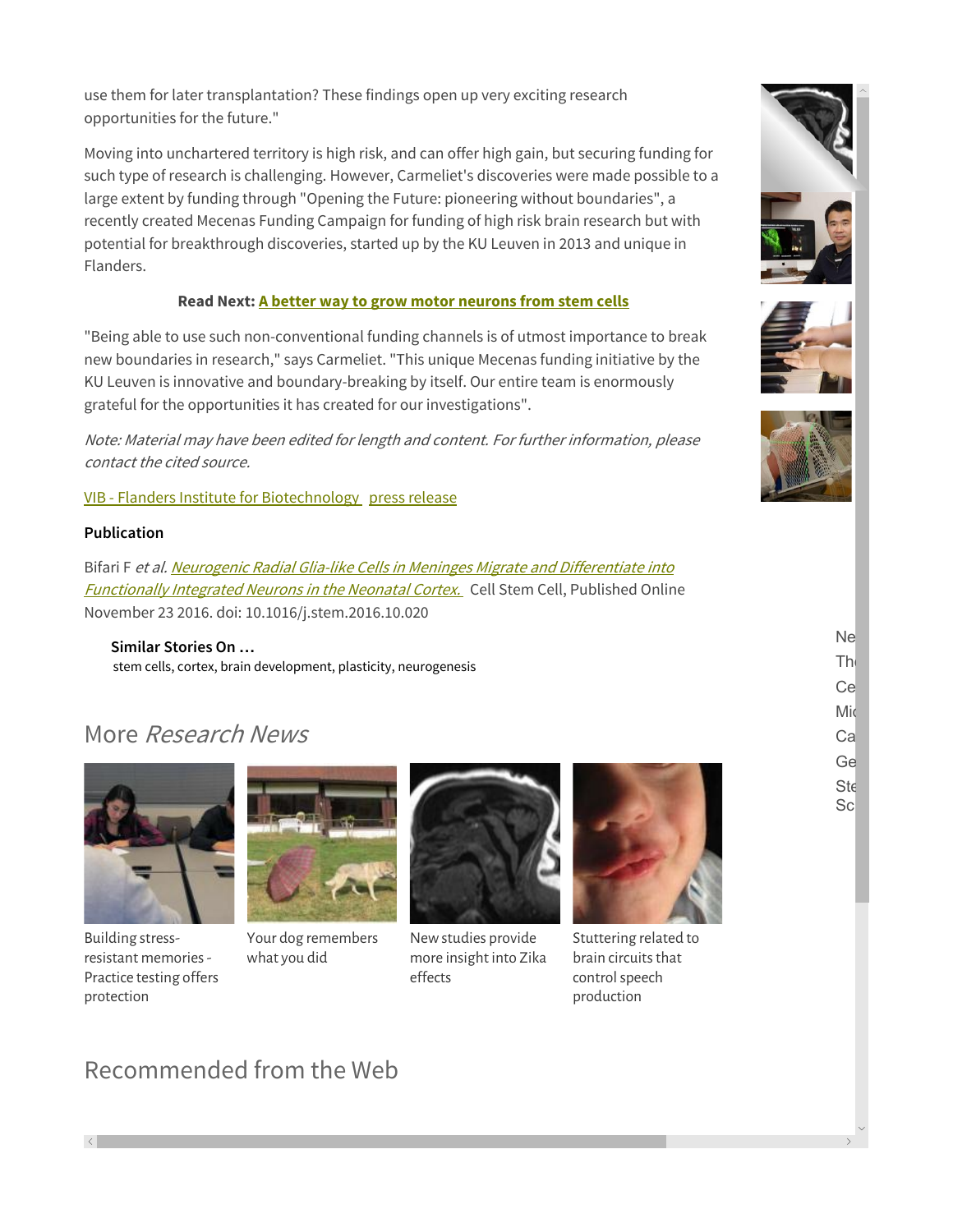use them for later transplantation? These findings open up very exciting research opportunities for the future."

Moving into unchartered territory is high risk, and can offer high gain, but securing funding for such type of research is challenging. However, Carmeliet's discoveries were made possible to a large extent by funding through "Opening the Future: pioneering without boundaries", a recently created Mecenas Funding Campaign for funding of high risk brain research but with potential for breakthrough discoveries, started up by the KU Leuven in 2013 and unique in Flanders.

#### **Read Next: A better way to grow motor neurons from stem cells**

"Being able to use such non-conventional funding channels is of utmost importance to break new boundaries in research," says Carmeliet. "This unique Mecenas funding initiative by the KU Leuven is innovative and boundary-breaking by itself. Our entire team is enormously grateful for the opportunities it has created for our investigations".

Note: Material may have been edited for length and content. For further information, please contact the cited source.

VIB - Flanders Institute for Biotechnology press release

#### **Publication**

Bifari F et al. Neurogenic Radial Glia-like Cells in Meninges Migrate and Differentiate into **Functionally Integrated Neurons in the Neonatal Cortex.** Cell Stem Cell, Published Online November 23 2016. doi: 10.1016/j.stem.2016.10.020

**Similar Stories On …** stem cells, cortex, brain development, plasticity, neurogenesis

## More Research News



Building stressresistant memories - Practice testing offers protection



Your dog remembers what you did



New studies provide more insight into Zika effects



Stuttering related to brain circuits that control speech production







Ne The Ce Mic Ca Ge

**Ste** 

**Scl** 

## Recommended from the Web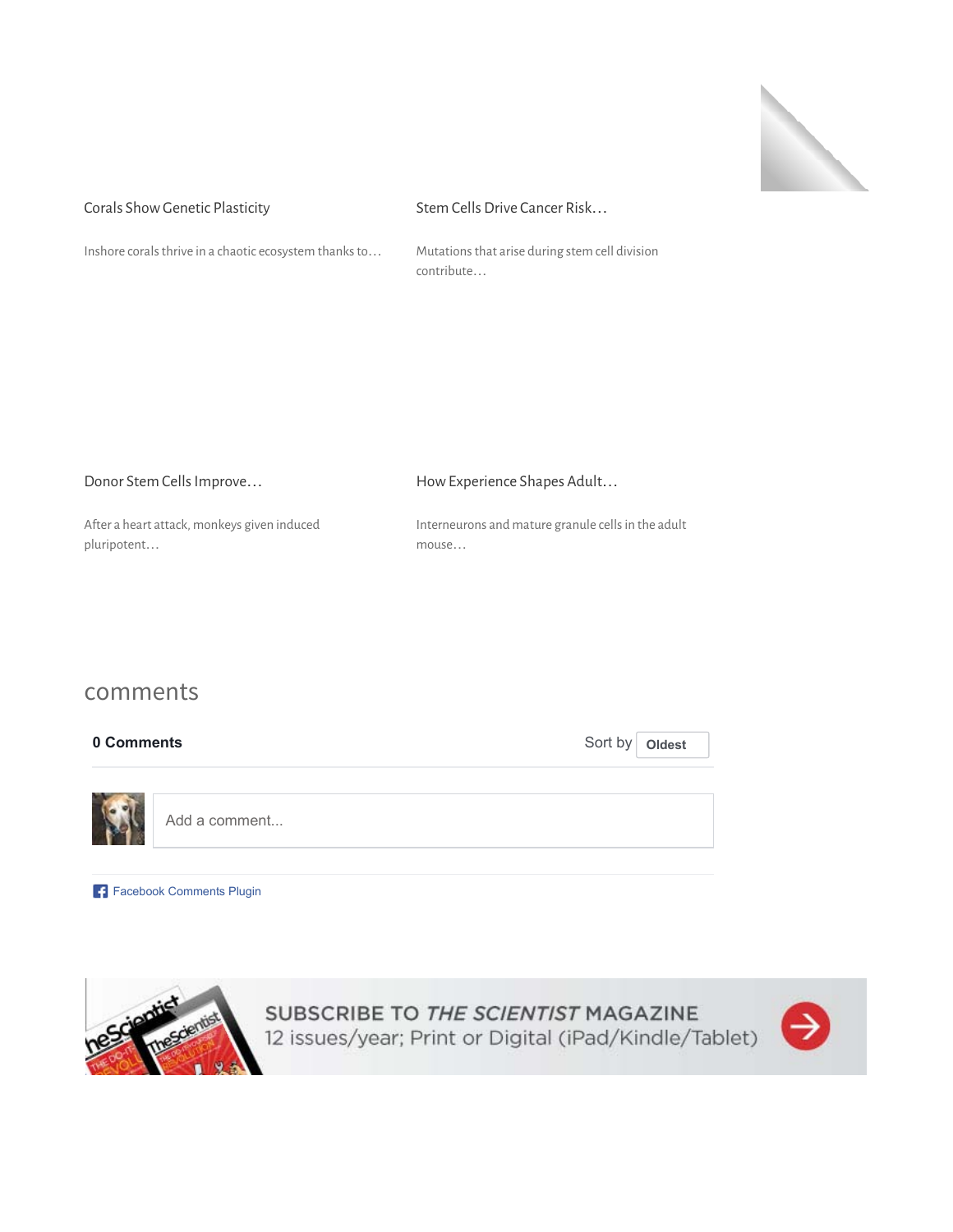

#### Corals Show Genetic Plasticity Inshore corals thrive in a chaotic ecosystem thanks to… Stem Cells Drive Cancer Risk… Mutations that arise during stem cell division

| Donor Stem Cells Improve                    | How Experience Shapes Adult                        |  |
|---------------------------------------------|----------------------------------------------------|--|
| After a heart attack, monkeys given induced | Interneurons and mature granule cells in the adult |  |
| pluripotent                                 | mouse                                              |  |

contribute…

## comments

| 0 Comments |               | Sort by   Oldest |  |
|------------|---------------|------------------|--|
|            |               |                  |  |
|            | Add a comment |                  |  |

**Facebook Comments Plugin** 



SUBSCRIBE TO THE SCIENTIST MAGAZINE<br>12 issues/year; Print or Digital (iPad/Kindle/Tablet)